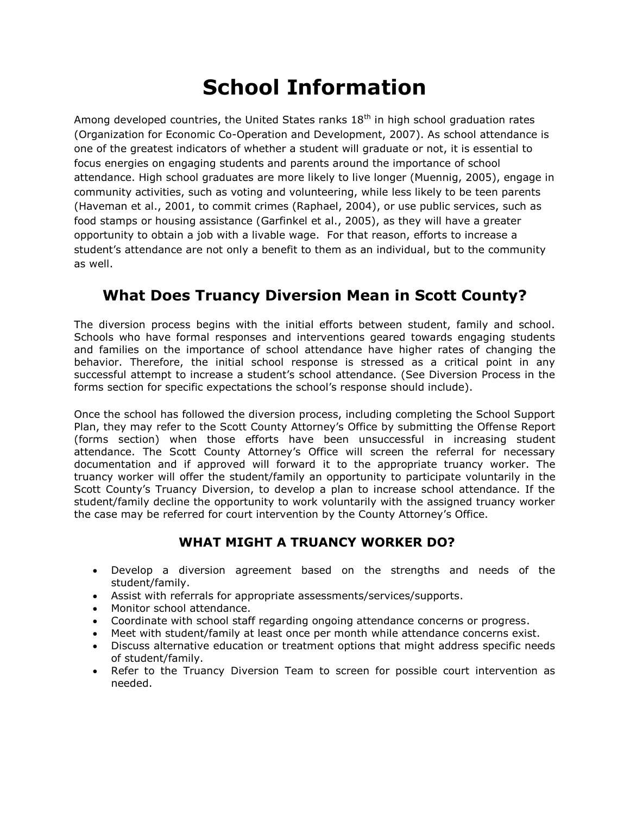# **School Information**

Among developed countries, the United States ranks  $18<sup>th</sup>$  in high school graduation rates (Organization for Economic Co-Operation and Development, 2007). As school attendance is one of the greatest indicators of whether a student will graduate or not, it is essential to focus energies on engaging students and parents around the importance of school attendance. High school graduates are more likely to live longer (Muennig, 2005), engage in community activities, such as voting and volunteering, while less likely to be teen parents (Haveman et al., 2001, to commit crimes (Raphael, 2004), or use public services, such as food stamps or housing assistance (Garfinkel et al., 2005), as they will have a greater opportunity to obtain a job with a livable wage. For that reason, efforts to increase a student's attendance are not only a benefit to them as an individual, but to the community as well.

# **What Does Truancy Diversion Mean in Scott County?**

The diversion process begins with the initial efforts between student, family and school. Schools who have formal responses and interventions geared towards engaging students and families on the importance of school attendance have higher rates of changing the behavior. Therefore, the initial school response is stressed as a critical point in any successful attempt to increase a student's school attendance. (See Diversion Process in the forms section for specific expectations the school's response should include).

Once the school has followed the diversion process, including completing the School Support Plan, they may refer to the Scott County Attorney's Office by submitting the Offense Report (forms section) when those efforts have been unsuccessful in increasing student attendance. The Scott County Attorney's Office will screen the referral for necessary documentation and if approved will forward it to the appropriate truancy worker. The truancy worker will offer the student/family an opportunity to participate voluntarily in the Scott County's Truancy Diversion, to develop a plan to increase school attendance. If the student/family decline the opportunity to work voluntarily with the assigned truancy worker the case may be referred for court intervention by the County Attorney's Office.

# **WHAT MIGHT A TRUANCY WORKER DO?**

- Develop a diversion agreement based on the strengths and needs of the student/family.
- Assist with referrals for appropriate assessments/services/supports.
- Monitor school attendance.
- Coordinate with school staff regarding ongoing attendance concerns or progress.
- Meet with student/family at least once per month while attendance concerns exist.
- Discuss alternative education or treatment options that might address specific needs of student/family.
- Refer to the Truancy Diversion Team to screen for possible court intervention as needed.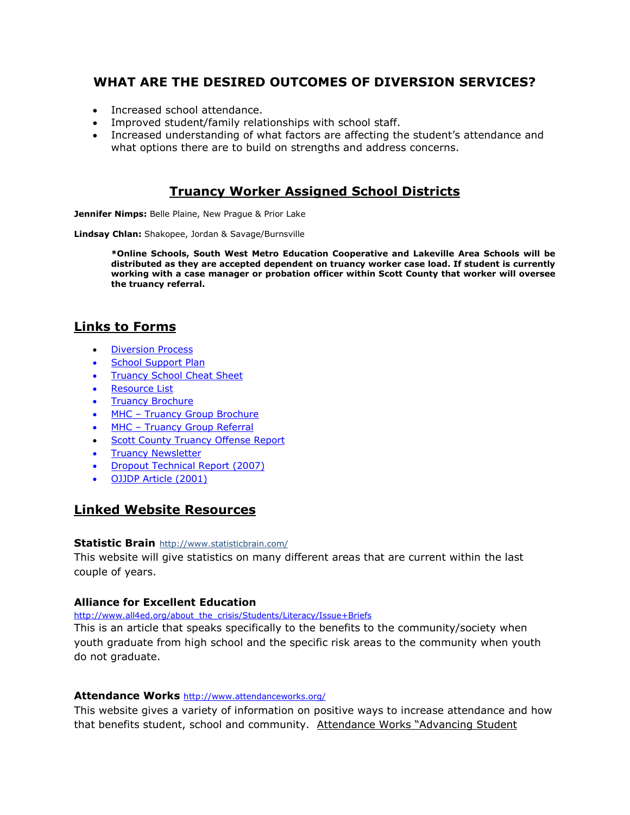## **WHAT ARE THE DESIRED OUTCOMES OF DIVERSION SERVICES?**

- Increased school attendance.
- Improved student/family relationships with school staff.
- Increased understanding of what factors are affecting the student's attendance and what options there are to build on strengths and address concerns.

### **Truancy Worker Assigned School Districts**

**Jennifer Nimps:** Belle Plaine, New Prague & Prior Lake

**Lindsay Chlan:** Shakopee, Jordan & Savage/Burnsville

**\*Online Schools, South West Metro Education Cooperative and Lakeville Area Schools will be distributed as they are accepted dependent on truancy worker case load. If student is currently working with a case manager or probation officer within Scott County that worker will oversee the truancy referral.** 

## **Links to Forms**

- **•** [Diversion Process](http://www.co.scott.mn.us/helpingpeoplehealth/children/Documents/DiversionProcess%20update%20August%202014.pdf)
- [School Support Plan](http://www.co.scott.mn.us/HelpingPeopleHealth/children/Documents/School%20Support%20Plan.pdf)
- [Truancy School Cheat Sheet](http://www.co.scott.mn.us/HelpingPeopleHealth/children/Documents/Truancy%20School%20Cheat%20Sheet.pdf)
- [Resource List](http://www.co.scott.mn.us/HelpingPeopleHealth/children/Documents/Truancy%20Resources.pdf)
- [Truancy Brochure](http://www.co.scott.mn.us/HelpingPeopleHealth/children/Documents/TruancyBrochure.pdf)
- MHC [Truancy Group Brochure](http://www.co.scott.mn.us/HelpingPeopleHealth/children/Documents/Mental%20Health%20Center%20Brochure.pdf)
- MHC [Truancy Group Referral](http://www.co.scott.mn.us/HelpingPeopleHealth/children/Documents/MHC-Truancy%20Referral%20Form.pdf)
- **[Scott County Truancy Offense Report](http://www.co.scott.mn.us/HelpingPeopleHealth/children/Documents/Truancy%20Offense%20Report%202014.pdf)**
- [Truancy Newsletter](http://www.co.scott.mn.us/HelpingPeopleHealth/children/Documents/Truancy%20newsletter%20(2).pdf)
- [Dropout Technical Report \(2007\)](http://www.co.scott.mn.us/HelpingPeopleHealth/children/Documents/SchoolDropOutTechnicalReport.pdf)
- [OJJDP Article \(2001\)](http://www.co.scott.mn.us/HelpingPeopleHealth/children/Documents/OJJDP%20Article2001.pdf)

#### **Linked Website Resources**

#### **Statistic Brain** <http://www.statisticbrain.com/>

This website will give statistics on many different areas that are current within the last couple of years.

#### **Alliance for Excellent Education**

[http://www.all4ed.org/about\\_the\\_crisis/Students/Literacy/Issue+Briefs](http://www.all4ed.org/about_the_crisis/Students/Literacy/Issue+Briefs)

This is an article that speaks specifically to the benefits to the community/society when youth graduate from high school and the specific risk areas to the community when youth do not graduate.

#### **Attendance Works** <http://www.attendanceworks.org/>

This website gives a variety of information on positive ways to increase attendance and how that benefits student, school and community. Attendance Works "Advancing Student